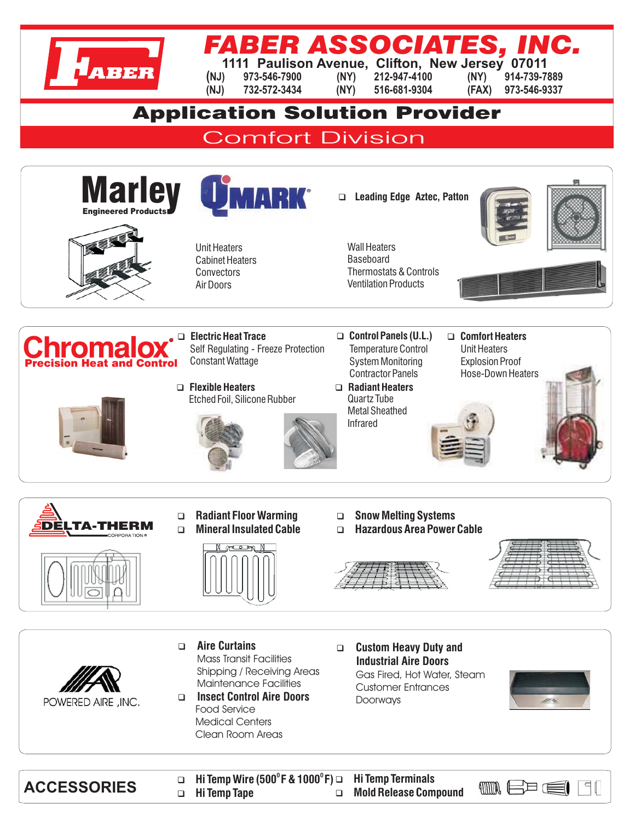

## FABER ASSOCIAT

**1111 Paulison Avenue, Clifton, New Jersey 07011**

**(NJ) 973-546-7900 (NY) 212-947-4100 (NY) 914-739-7889 (NJ) 732-572-3434 (NY) 516-681-9304 (FAX) 973-546-9337**

## Application Solution Provider

**Comfort Division** 



Hi Temp Wire (500°F & 1000°F) → Hi Temp Terminals<br>Mold Release Compound ← Hi Temp Tape → Mold Release Compound  $\Box$  $40000$ 曰  $\Box$ **Hi Temp Tape**  $\Box$